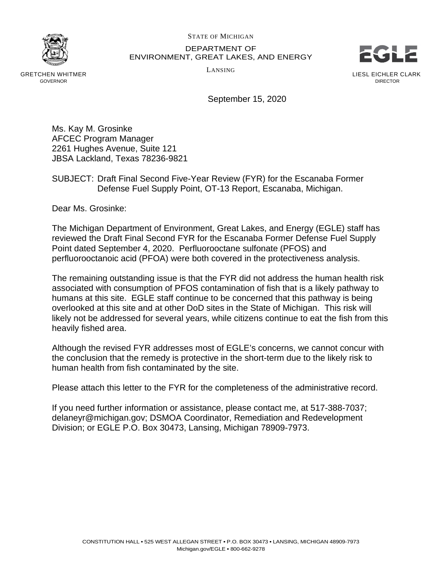STATE OF MICHIGAN



 DEPARTMENT OF ENVIRONMENT, GREAT LAKES, AND ENERGY



September 15, 2020

 Ms. Kay M. Grosinke AFCEC Program Manager 2261 Hughes Avenue, Suite 121 JBSA Lackland, Texas 78236-9821

## SUBJECT: Draft Final Second Five-Year Review (FYR) for the Escanaba Former Defense Fuel Supply Point, OT-13 Report, Escanaba, Michigan.

Dear Ms. Grosinke:

 The Michigan Department of Environment, Great Lakes, and Energy (EGLE) staff has reviewed the Draft Final Second FYR for the Escanaba Former Defense Fuel Supply Point dated September 4, 2020. Perfluorooctane sulfonate (PFOS) and perfluorooctanoic acid (PFOA) were both covered in the protectiveness analysis.

 The remaining outstanding issue is that the FYR did not address the human health risk associated with consumption of PFOS contamination of fish that is a likely pathway to humans at this site. EGLE staff continue to be concerned that this pathway is being overlooked at this site and at other DoD sites in the State of Michigan. This risk will likely not be addressed for several years, while citizens continue to eat the fish from this heavily fished area.

 Although the revised FYR addresses most of EGLE's concerns, we cannot concur with the conclusion that the remedy is protective in the short-term due to the likely risk to human health from fish contaminated by the site.

Please attach this letter to the FYR for the completeness of the administrative record.

 If you need further information or assistance, please contact me, at 517-388-7037; [delaneyr@michigan.gov;](mailto:delaneyr@michigan.gov) DSMOA Coordinator, Remediation and Redevelopment Division; or EGLE P.O. Box 30473, Lansing, Michigan 78909-7973.